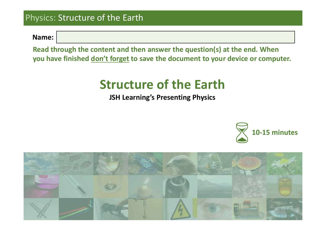**Name:**

**Read through the content and then answer the question(s) at the end. When you have finished don't forget to save the document to your device or computer.**

# **Structure of the Earth**

**JSH Learning's Presenting Physics**



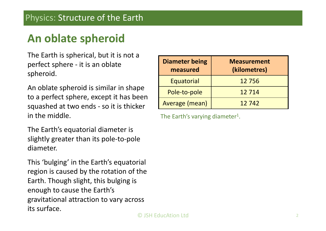# **An oblate spheroid**

The Earth is spherical, but it is not a perfect sphere ‐ it is an oblate spheroid.

An oblate spheroid is similar in shape to a perfect sphere, except it has been squashed at two ends ‐ so it is thicker in the middle.

The Earth's equatorial diameter is slightly greater than its pole‐to‐pole diameter.

This 'bulging' in the Earth's equatorial region is caused by the rotation of the Earth. Though slight, this bulging is enough to cause the Earth's gravitational attraction to vary across its surface.

| <b>Diameter being</b><br>measured | <b>Measurement</b><br>(kilometres) |
|-----------------------------------|------------------------------------|
| Equatorial                        | 12756                              |
| Pole-to-pole                      | 12714                              |
| Average (mean)                    | 12742                              |

The Earth's varying diameter<sup>1</sup>.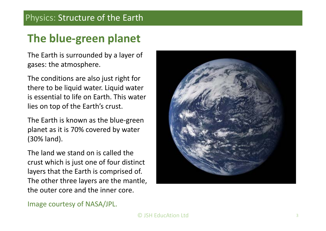# **The blue‐green planet**

The Earth is surrounded by a layer of gases: the atmosphere.

The conditions are also just right for there to be liquid water. Liquid water is essential to life on Earth. This water lies on top of the Earth's crust.

The Earth is known as the blue‐green planet as it is 70% covered by water (30% land).

The land we stand on is called the crust which is just one of four distinct layers that the Earth is comprised of. The other three layers are the mantle, the outer core and the inner core.

Image courtesy of NASA/JPL.

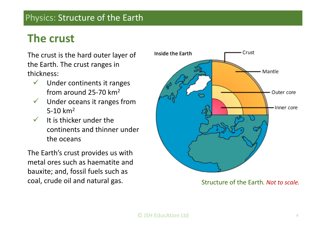## **The crust**

The crust is the hard outer layer of the Earth. The crust ranges in thickness:

- $\sqrt{2}$  Under continents it ranges from around 25‐70 km2
- $\checkmark$  Under oceans it ranges from 5-10  $km^2$
- $\sqrt{2}$  It is thicker under the continents and thinner under the oceans

The Earth's crust provides us with metal ores such as haematite and bauxite; and, fossil fuels such as coal, crude oil and natural gas. Structure of the Earth, Not to scale.

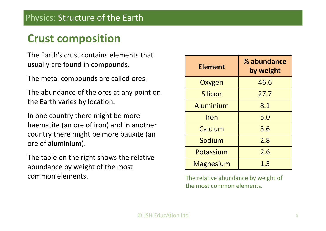## **Crust composition**

The Earth's crust contains elements that usually are found in compounds.

The metal compounds are called ores.

The abundance of the ores at any point on the Earth varies by location.

In one country there might be more haematite (an ore of iron) and in another country there might be more bauxite (an ore of aluminium).

The table on the right shows the relative abundance by weight of the most common elements.

| <b>Element</b>   | % abundance<br>by weight |
|------------------|--------------------------|
| Oxygen           | 46.6                     |
| Silicon          | 27.7                     |
| Aluminium        | 8.1                      |
| Iron             | 5.0                      |
| Calcium          | 3.6                      |
| Sodium           | 2.8                      |
| Potassium        | 2.6                      |
| <b>Magnesium</b> | 1.5                      |

 The relative abundance by weight of the most common elements.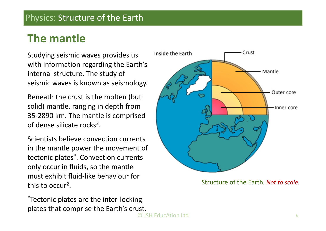### **The mantle**

Studying seismic waves provides us with information regarding the Earth's internal structure. The study of seismic waves is known as seismology.

Beneath the crust is the molten (but solid) mantle, ranging in depth from 35‐2890 km. The mantle is comprised of dense silicate rocks2.

Scientists believe convection currents in the mantle power the movement of tectonic plates\*. Convection currents only occur in fluids, so the mantle must exhibit fluid‐like behaviour for this to occur2.

\*Tectonic plates are the inter‐locking plates that comprise the Earth's crust.



Structure of the Earth*. Not to scale.*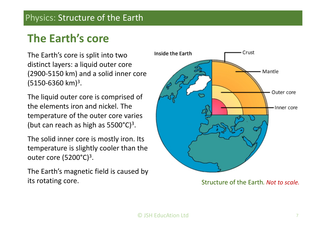# **The Earth's core**

The Earth's core is split into two distinct layers: a liquid outer core (2900‐5150 km) and a solid inner core (5150‐6360 km)3.

The liquid outer core is comprised of the elements iron and nickel. The temperature of the outer core varies (but can reach as high as  $5500^{\circ}$ C)<sup>3</sup>.

The solid inner core is mostly iron. Its temperature is slightly cooler than the outer core  $(5200^{\circ}C)^3$ .

The Earth's magnetic field is caused by its rotating core.  $\qquad \qquad$  Structure of the Earth. Not to scale.

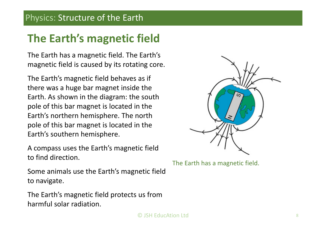# **The Earth's magnetic field**

The Earth has a magnetic field. The Earth's magnetic field is caused by its rotating core.

The Earth's magnetic field behaves as if there was a huge bar magnet inside the Earth. As shown in the diagram: the south pole of this bar magnet is located in the Earth's northern hemisphere. The north pole of this bar magnet is located in the Earth's southern hemisphere.

A compass uses the Earth's magnetic field to find direction.

Some animals use the Earth's magnetic field to navigate.

The Earth's magnetic field protects us from harmful solar radiation.



The Earth has a magnetic field.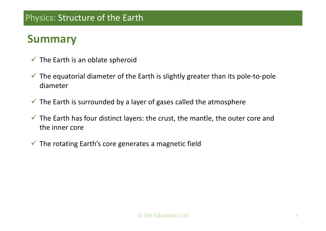### **Summary**

- $\checkmark$  The Earth is an oblate spheroid
- $\checkmark$  The equatorial diameter of the Earth is slightly greater than its pole-to-pole diameter
- $\checkmark$  The Earth is surrounded by a layer of gases called the atmosphere
- $\checkmark$  The Earth has four distinct layers: the crust, the mantle, the outer core and the inner core
- $\checkmark$  The rotating Earth's core generates a magnetic field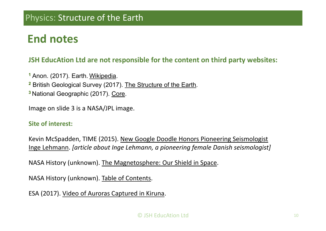## **End notes**

#### **JSH EducAtion Ltd are not responsible for the content on third party websites:**

**1** Anon. (2017). Earth. Wikipedia. **2** British Geological Survey (2017). The Structure of the Earth.

**<sup>3</sup>**National Geographic (2017). Core.

Image on slide 3 is a NASA/JPL image.

#### **Site of interest:**

Kevin McSpadden, TIME (2015). New Google Doodle Honors Pioneering Seismologist Inge Lehmann. *[article about Inge Lehmann, a pioneering female Danish seismologist]*

NASA History (unknown). The Magnetosphere: Our Shield in Space.

NASA History (unknown). Table of Contents.

ESA (2017). Video of Auroras Captured in Kiruna.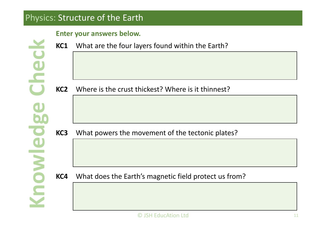#### **Enter your answers below.**